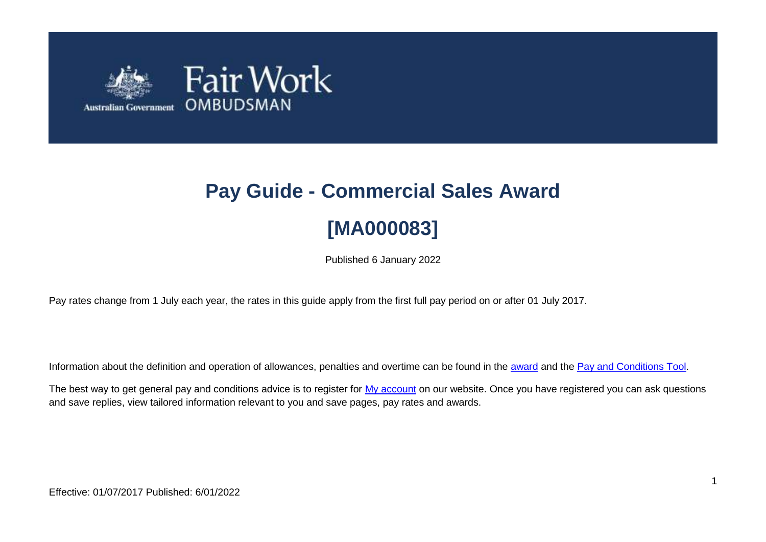

# **Pay Guide - Commercial Sales Award [MA000083]**

Published 6 January 2022

Pay rates change from 1 July each year, the rates in this guide apply from the first full pay period on or after 01 July 2017.

Information about the definition and operation of allowances, penalties and overtime can be found in the [award](https://www.fairwork.gov.au/awards-and-agreements/awards/list-of-awards) and the [Pay and Conditions Tool.](https://calculate.fairwork.gov.au/)

The best way to get general pay and conditions advice is to register for [My account](https://www.fairwork.gov.au/my-account/registerpage.aspx) on our website. Once you have registered you can ask questions and save replies, view tailored information relevant to you and save pages, pay rates and awards.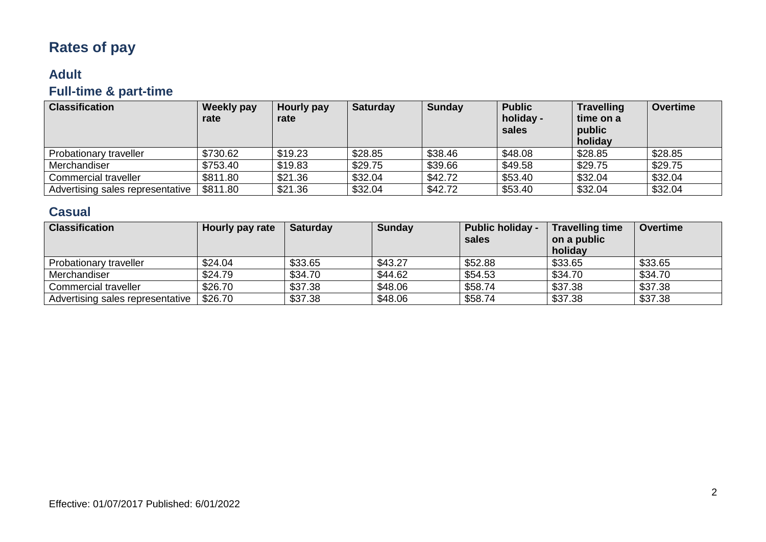## **Rates of pay**

## **Adult Full-time & part-time**

| <b>Classification</b>            | <b>Weekly pay</b><br>rate | Hourly pay<br>rate | <b>Saturday</b> | <b>Sunday</b> | <b>Public</b><br>holiday -<br>sales | <b>Travelling</b><br>time on a<br>public<br>holiday | <b>Overtime</b> |
|----------------------------------|---------------------------|--------------------|-----------------|---------------|-------------------------------------|-----------------------------------------------------|-----------------|
| Probationary traveller           | \$730.62                  | \$19.23            | \$28.85         | \$38.46       | \$48.08                             | \$28.85                                             | \$28.85         |
| Merchandiser                     | \$753.40                  | \$19.83            | \$29.75         | \$39.66       | \$49.58                             | \$29.75                                             | \$29.75         |
| Commercial traveller             | \$811.80                  | \$21.36            | \$32.04         | \$42.72       | \$53.40                             | \$32.04                                             | \$32.04         |
| Advertising sales representative | \$811.80                  | \$21.36            | \$32.04         | \$42.72       | \$53.40                             | \$32.04                                             | \$32.04         |

### **Casual**

| <b>Classification</b>            | Hourly pay rate | <b>Saturday</b> | <b>Sunday</b> | <b>Public holiday -</b><br>sales | <b>Travelling time</b><br>on a public<br>holiday | <b>Overtime</b> |
|----------------------------------|-----------------|-----------------|---------------|----------------------------------|--------------------------------------------------|-----------------|
| Probationary traveller           | \$24.04         | \$33.65         | \$43.27       | \$52.88                          | \$33.65                                          | \$33.65         |
| Merchandiser                     | \$24.79         | \$34.70         | \$44.62       | \$54.53                          | \$34.70                                          | \$34.70         |
| Commercial traveller             | \$26.70         | \$37.38         | \$48.06       | \$58.74                          | \$37.38                                          | \$37.38         |
| Advertising sales representative | \$26.70         | \$37.38         | \$48.06       | \$58.74                          | \$37.38                                          | \$37.38         |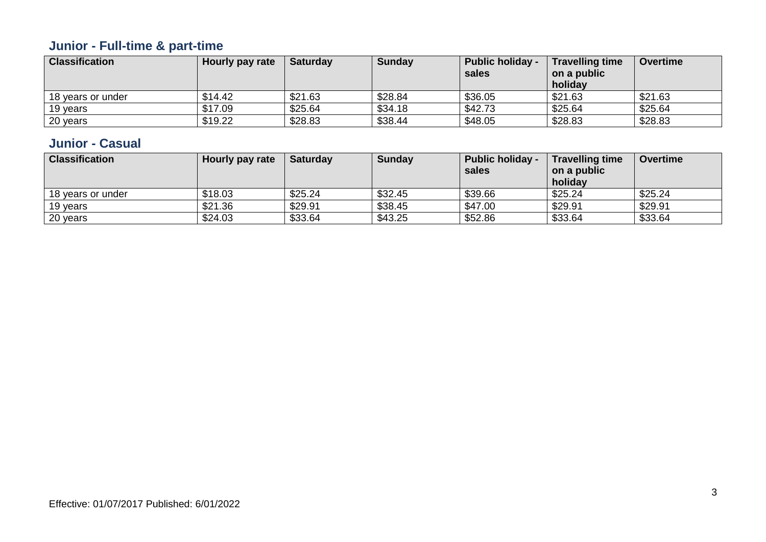## **Junior - Full-time & part-time**

| <b>Classification</b> | Hourly pay rate | <b>Saturday</b> | <b>Sunday</b> | <b>Public holiday -</b><br>sales | <b>Travelling time</b><br>on a public<br>holiday | <b>Overtime</b> |
|-----------------------|-----------------|-----------------|---------------|----------------------------------|--------------------------------------------------|-----------------|
| 18 years or under     | \$14.42         | \$21.63         | \$28.84       | \$36.05                          | \$21.63                                          | \$21.63         |
| 19 years              | \$17.09         | \$25.64         | \$34.18       | \$42.73                          | \$25.64                                          | \$25.64         |
| 20 years              | \$19.22         | \$28.83         | \$38.44       | \$48.05                          | \$28.83                                          | \$28.83         |

### **Junior - Casual**

| <b>Classification</b> | Hourly pay rate | <b>Saturday</b> | <b>Sunday</b> | <b>Public holiday -</b><br>sales | <b>Travelling time</b><br>on a public<br>holiday | <b>Overtime</b> |
|-----------------------|-----------------|-----------------|---------------|----------------------------------|--------------------------------------------------|-----------------|
| 18 years or under     | \$18.03         | \$25.24         | \$32.45       | \$39.66                          | \$25.24                                          | \$25.24         |
| 19 years              | \$21.36         | \$29.91         | \$38.45       | \$47.00                          | \$29.91                                          | \$29.91         |
| 20 years              | \$24.03         | \$33.64         | \$43.25       | \$52.86                          | \$33.64                                          | \$33.64         |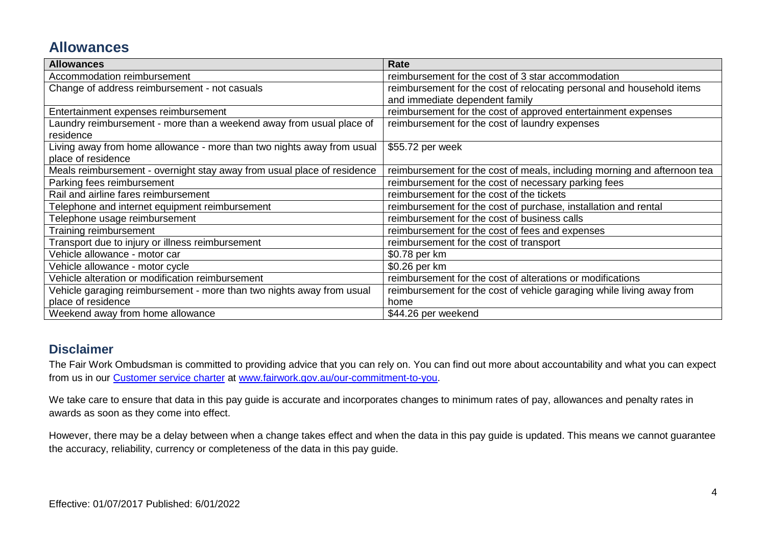## **Allowances**

| <b>Allowances</b>                                                       | Rate                                                                     |  |  |
|-------------------------------------------------------------------------|--------------------------------------------------------------------------|--|--|
| Accommodation reimbursement                                             | reimbursement for the cost of 3 star accommodation                       |  |  |
| Change of address reimbursement - not casuals                           | reimbursement for the cost of relocating personal and household items    |  |  |
|                                                                         | and immediate dependent family                                           |  |  |
| Entertainment expenses reimbursement                                    | reimbursement for the cost of approved entertainment expenses            |  |  |
| Laundry reimbursement - more than a weekend away from usual place of    | reimbursement for the cost of laundry expenses                           |  |  |
| residence                                                               |                                                                          |  |  |
| Living away from home allowance - more than two nights away from usual  | \$55.72 per week                                                         |  |  |
| place of residence                                                      |                                                                          |  |  |
| Meals reimbursement - overnight stay away from usual place of residence | reimbursement for the cost of meals, including morning and afternoon tea |  |  |
| Parking fees reimbursement                                              | reimbursement for the cost of necessary parking fees                     |  |  |
| Rail and airline fares reimbursement                                    | reimbursement for the cost of the tickets                                |  |  |
| Telephone and internet equipment reimbursement                          | reimbursement for the cost of purchase, installation and rental          |  |  |
| Telephone usage reimbursement                                           | reimbursement for the cost of business calls                             |  |  |
| Training reimbursement                                                  | reimbursement for the cost of fees and expenses                          |  |  |
| Transport due to injury or illness reimbursement                        | reimbursement for the cost of transport                                  |  |  |
| Vehicle allowance - motor car                                           | \$0.78 per km                                                            |  |  |
| Vehicle allowance - motor cycle                                         | \$0.26 per km                                                            |  |  |
| Vehicle alteration or modification reimbursement                        | reimbursement for the cost of alterations or modifications               |  |  |
| Vehicle garaging reimbursement - more than two nights away from usual   | reimbursement for the cost of vehicle garaging while living away from    |  |  |
| place of residence                                                      | home                                                                     |  |  |
| Weekend away from home allowance                                        | \$44.26 per weekend                                                      |  |  |

#### **Disclaimer**

The Fair Work Ombudsman is committed to providing advice that you can rely on. You can find out more about accountability and what you can expect from us in our [Customer service charter](https://www.fairwork.gov.au/about-us/our-role-and-purpose/our-priorities/our-commitment-to-you#customer-service-charter) at [www.fairwork.gov.au/our-commitment-to-you.](http://www.fairwork.gov.au/our-commitment-to-you)

We take care to ensure that data in this pay guide is accurate and incorporates changes to minimum rates of pay, allowances and penalty rates in awards as soon as they come into effect.

However, there may be a delay between when a change takes effect and when the data in this pay guide is updated. This means we cannot guarantee the accuracy, reliability, currency or completeness of the data in this pay guide.